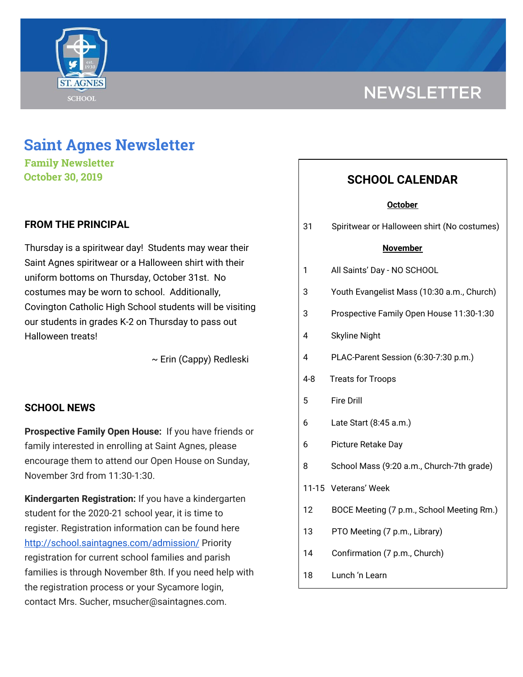

# **NEWSLETTER**

## **Saint Agnes Newsletter**

**Family Newsletter October 30, 2019**

## **FROM THE PRINCIPAL**

Thursday is a spiritwear day! Students may wear their Saint Agnes spiritwear or a Halloween shirt with their uniform bottoms on Thursday, October 31st. No costumes may be worn to school. Additionally, Covington Catholic High School students will be visiting our students in grades K-2 on Thursday to pass out Halloween treats!

~ Erin (Cappy) Redleski

## **SCHOOL NEWS**

**Prospective Family Open House:** If you have friends or family interested in enrolling at Saint Agnes, please encourage them to attend our Open House on Sunday, November 3rd from 11:30-1:30.

**Kindergarten Registration:** If you have a kindergarten student for the 2020-21 school year, it is time to register. Registration information can be found here <http://school.saintagnes.com/admission/> Priority registration for current school families and parish families is through November 8th. If you need help with the registration process or your Sycamore login, contact Mrs. Sucher, msucher@saintagnes.com.

## **SCHOOL CALENDAR**

#### **October**

31 Spiritwear or Halloween shirt (No costumes)

#### **November**

|  | All Saints' Day - NO SCHOOL |
|--|-----------------------------|
|--|-----------------------------|

- 3 Youth Evangelist Mass (10:30 a.m., Church)
- 3 Prospective Family Open House 11:30-1:30
- 4 Skyline Night
- 4 PLAC-Parent Session (6:30-7:30 p.m.)
- 4-8 Treats for Troops
- 5 Fire Drill
- 6 Late Start (8:45 a.m.)
- 6 Picture Retake Day
- 8 School Mass (9:20 a.m., Church-7th grade)
- 11-15 Veterans' Week
- 12 BOCE Meeting (7 p.m., School Meeting Rm.)
- 13 PTO Meeting (7 p.m., Library)
- 14 Confirmation (7 p.m., Church)
- 18 Lunch 'n Learn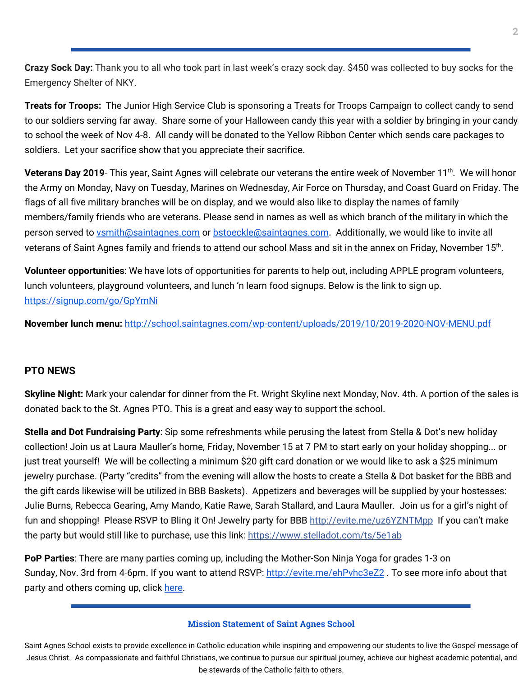**Crazy Sock Day:** Thank you to all who took part in last week's crazy sock day. \$450 was collected to buy socks for the Emergency Shelter of NKY.

**Treats for Troops:** The Junior High Service Club is sponsoring a Treats for Troops Campaign to collect candy to send to our soldiers serving far away. Share some of your Halloween candy this year with a soldier by bringing in your candy to school the week of Nov 4-8. All candy will be donated to the Yellow Ribbon Center which sends care packages to soldiers. Let your sacrifice show that you appreciate their sacrifice.

**Veterans Day 2019**- This year, Saint Agnes will celebrate our veterans the entire week of November 11<sup>th</sup>. We will honor the Army on Monday, Navy on Tuesday, Marines on Wednesday, Air Force on Thursday, and Coast Guard on Friday. The flags of all five military branches will be on display, and we would also like to display the names of family members/family friends who are veterans. Please send in names as well as which branch of the military in which the person served to [vsmith@saintagnes.com](mailto:vsmith@saintagnes.com) or [bstoeckle@saintagnes.com](mailto:bstoeckle@saintagnes.com). Additionally, we would like to invite all veterans of Saint Agnes family and friends to attend our school Mass and sit in the annex on Friday, November 15<sup>th</sup>.

**Volunteer opportunities**: We have lots of opportunities for parents to help out, including APPLE program volunteers, lunch volunteers, playground volunteers, and lunch 'n learn food signups. Below is the link to sign up. <https://signup.com/go/GpYmNi>

**November lunch menu:** <http://school.saintagnes.com/wp-content/uploads/2019/10/2019-2020-NOV-MENU.pdf>

## **PTO NEWS**

**Skyline Night:** Mark your calendar for dinner from the Ft. Wright Skyline next Monday, Nov. 4th. A portion of the sales is donated back to the St. Agnes PTO. This is a great and easy way to support the school.

**Stella and Dot Fundraising Party**: Sip some refreshments while perusing the latest from Stella & Dot's new holiday collection! Join us at Laura Mauller's home, Friday, November 15 at 7 PM to start early on your holiday shopping... or just treat yourself! We will be collecting a minimum \$20 gift card donation or we would like to ask a \$25 minimum jewelry purchase. (Party "credits" from the evening will allow the hosts to create a Stella & Dot basket for the BBB and the gift cards likewise will be utilized in BBB Baskets). Appetizers and beverages will be supplied by your hostesses: Julie Burns, Rebecca Gearing, Amy Mando, Katie Rawe, Sarah Stallard, and Laura Mauller. Join us for a girl's night of fun and shopping! Please RSVP to Bling it On! Jewelry party for BBB [http://evite.me/uz6YZNTMpp](https://l.facebook.com/l.php?u=http%3A%2F%2Fevite.me%2Fuz6YZNTMpp%3Ffbclid%3DIwAR2BsMYwEgRbELffyYxRlOm9sIHBqyxdm_lKfpBXPwHzIh8zNFAyH7uMEVA&h=AT3P428uqpdWjrjnkrC_kT5aF-tJYGgAj5SK5mxkl4kk-PVdlmju6YxuxuI-cltZ0nXgreRNX_R_I30Kuvj9UqF6IcKB_l11t9LwQyTeidDgCjVDvr5Zwvzjlyecw2jGoj_TYrc3gc940rrM01pphN4_4pTQwwDP_NZw0kX4NII2DR0) If you can't make the party but would still like to purchase, use this link: [https://www.stelladot.com/ts/5e1ab](https://l.facebook.com/l.php?u=https%3A%2F%2Fwww.stelladot.com%2Fts%2F5e1ab%3Ffbclid%3DIwAR1EUUbSv_uuA2ZzgHu18XOmK4VujksS24XAtQyRtJZ93ebnZSUzLeIFGGc&h=AT1c_ee6th2sGyKrW2432hmGkIZ91-MsxovAzcCOYHpoIiLOwOA7ALp_sKVnoZqNZEmc4Kba19WKwfIKlRYilrh07fWpUiBozoCTtryqmO-U9Wf4X-LwbOu01pTmjiMKUOEiMETavNPNsQFH2LA0fOAW_samuts5VE3U7gFksyZO1bY)

**PoP Parties**: There are many parties coming up, including the Mother-Son Ninja Yoga for grades 1-3 on Sunday, Nov. 3rd from 4-6pm. If you want to attend RSVP: <http://evite.me/ehPvhc3eZ2>. To see more info about that party and others coming up, click [here.](http://school.saintagnes.com/wp-content/uploads/2019/10/POP-Parties_2019.pdf)

#### **Mission Statement of Saint Agnes School**

Saint Agnes School exists to provide excellence in Catholic education while inspiring and empowering our students to live the Gospel message of Jesus Christ. As compassionate and faithful Christians, we continue to pursue our spiritual journey, achieve our highest academic potential, and be stewards of the Catholic faith to others.